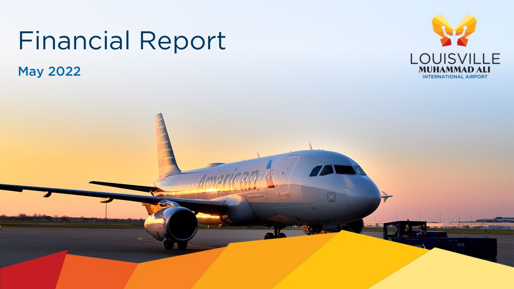# Financial Report

## May 2022



 $\circledcirc$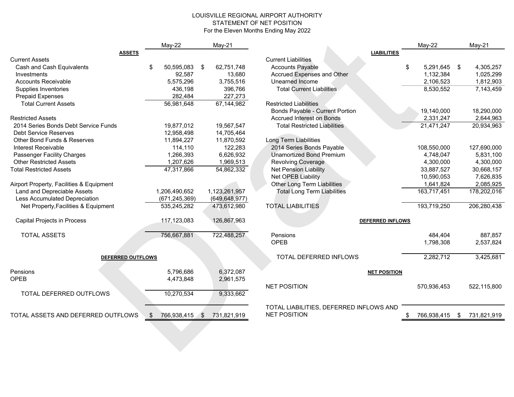#### LOUISVILLE REGIONAL AIRPORT AUTHORITY STATEMENT OF NET POSITION For the Eleven Months Ending May 2022

|                                          |               |    | May-22          |                        | $May-21$        |                                         |    | May-22       |    | $Mav-21$    |  |
|------------------------------------------|---------------|----|-----------------|------------------------|-----------------|-----------------------------------------|----|--------------|----|-------------|--|
|                                          | <b>ASSETS</b> |    |                 |                        |                 | <b>LIABILITIES</b>                      |    |              |    |             |  |
| <b>Current Assets</b>                    |               |    |                 |                        |                 | <b>Current Liabilities</b>              |    |              |    |             |  |
| Cash and Cash Equivalents                |               | \$ | 50,595,083      | - \$                   | 62,751,748      | <b>Accounts Payable</b>                 | \$ | 5,291,645 \$ |    | 4,305,257   |  |
| Investments                              |               |    | 92,587          |                        | 13,680          | Accrued Expenses and Other              |    | 1,132,384    |    | 1,025,299   |  |
| <b>Accounts Receivable</b>               |               |    | 5,575,296       |                        | 3,755,516       | Unearned Income                         |    | 2,106,523    |    | 1,812,903   |  |
| Supplies Inventories                     |               |    | 436,198         |                        | 396,766         | <b>Total Current Liabilities</b>        |    | 8,530,552    |    | 7,143,459   |  |
| <b>Prepaid Expenses</b>                  |               |    | 282,484         |                        | 227,273         |                                         |    |              |    |             |  |
| <b>Total Current Assets</b>              |               |    | 56,981,648      |                        | 67, 144, 982    | <b>Restricted Liabilities</b>           |    |              |    |             |  |
|                                          |               |    |                 |                        |                 | Bonds Payable - Current Portion         |    | 19,140,000   |    | 18,290,000  |  |
| <b>Restricted Assets</b>                 |               |    |                 |                        |                 | <b>Accrued Interest on Bonds</b>        |    | 2,331,247    |    | 2,644,963   |  |
| 2014 Series Bonds Debt Service Funds     |               |    | 19,877,012      |                        | 19,567,547      | <b>Total Restricted Liabilities</b>     |    | 21,471,247   |    | 20,934,963  |  |
| <b>Debt Service Reserves</b>             |               |    | 12,958,498      |                        | 14,705,464      |                                         |    |              |    |             |  |
| <b>Other Bond Funds &amp; Reserves</b>   |               |    | 11,894,227      |                        | 11,870,592      | Long Term Liabilities                   |    |              |    |             |  |
| Interest Receivable                      |               |    | 114,110         |                        | 122,283         | 2014 Series Bonds Payable               |    | 108,550,000  |    | 127,690,000 |  |
| <b>Passenger Facility Charges</b>        |               |    | 1,266,393       |                        | 6,626,932       | <b>Unamortized Bond Premium</b>         |    | 4,748,047    |    | 5,831,100   |  |
| <b>Other Restricted Assets</b>           |               |    | 1,207,626       |                        | 1,969,513       | <b>Revolving Coverage</b>               |    | 4,300,000    |    | 4,300,000   |  |
| <b>Total Restricted Assets</b>           |               |    | 47,317,866      |                        | 54,862,332      | <b>Net Pension Liability</b>            |    | 33,887,527   |    | 30,668,157  |  |
|                                          |               |    |                 |                        |                 | Net OPEB Liability                      |    | 10,590,053   |    | 7,626,835   |  |
| Airport Property, Facilities & Equipment |               |    |                 |                        |                 | Other Long Term Liabilities             |    | 1,641,824    |    | 2,085,925   |  |
| Land and Depreciable Assets              |               |    | 1,206,490,652   |                        | 1,123,261,957   | <b>Total Long Term Liabilities</b>      |    | 163,717,451  |    | 178,202,016 |  |
| <b>Less Accumulated Depreciation</b>     |               |    | (671, 245, 369) |                        | (649, 648, 977) |                                         |    |              |    |             |  |
| Net Property, Facilities & Equipment     |               |    | 535,245,282     |                        | 473,612,980     | <b>TOTAL LIABILITIES</b>                |    | 193,719,250  |    | 206,280,438 |  |
| <b>Capital Projects in Process</b>       |               |    | 117,123,083     |                        | 126,867,963     | <b>DEFERRED INFLOWS</b>                 |    |              |    |             |  |
| <b>TOTAL ASSETS</b>                      |               |    | 756,667,881     |                        | 722,488,257     | Pensions                                |    | 484,404      |    | 887,857     |  |
|                                          |               |    |                 |                        |                 | OPEB                                    |    | 1,798,308    |    | 2,537,824   |  |
| DEFERRED OUTFLOWS                        |               |    |                 | TOTAL DEFERRED INFLOWS |                 | 2,282,712                               |    | 3,425,681    |    |             |  |
| Pensions                                 |               |    | 5,796,686       |                        | 6,372,087       | <b>NET POSITION</b>                     |    |              |    |             |  |
| <b>OPEB</b>                              |               |    | 4,473,848       |                        | 2,961,575       |                                         |    |              |    |             |  |
| <b>TOTAL DEFERRED OUTFLOWS</b>           |               |    | 10,270,534      |                        | 9,333,662       | <b>NET POSITION</b>                     |    | 570,936,453  |    | 522,115,800 |  |
|                                          |               |    |                 |                        |                 | TOTAL LIABILITIES, DEFERRED INFLOWS AND |    |              |    |             |  |
| TOTAL ASSETS AND DEFERRED OUTFLOWS       |               | \$ | 766,938,415     | $\bullet$              | 731,821,919     | <b>NET POSITION</b>                     |    | 766,938,415  | \$ | 731,821,919 |  |
|                                          |               |    |                 |                        |                 |                                         |    |              |    |             |  |
|                                          |               |    |                 |                        |                 |                                         |    |              |    |             |  |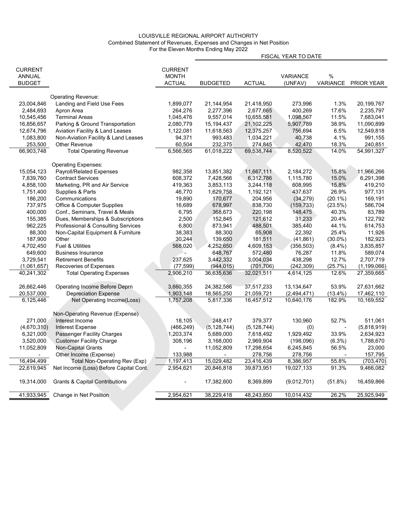#### LOUISVILLE REGIONAL AIRPORT AUTHORITY Combined Statement of Revenues, Expenses and Changes in Net Position For the Eleven Months Ending May 2022

|                                                  |                                           |                                                 | <b>FISCAL YEAR TO DATE</b> |               |                            |               |               |  |  |  |
|--------------------------------------------------|-------------------------------------------|-------------------------------------------------|----------------------------|---------------|----------------------------|---------------|---------------|--|--|--|
| <b>CURRENT</b><br><b>ANNUAL</b><br><b>BUDGET</b> |                                           | <b>CURRENT</b><br><b>MONTH</b><br><b>ACTUAL</b> | <b>BUDGETED</b>            | <b>ACTUAL</b> | <b>VARIANCE</b><br>(UNFAV) | %<br>VARIANCE | PRIOR YEAR    |  |  |  |
|                                                  |                                           |                                                 |                            |               |                            |               |               |  |  |  |
|                                                  | Operating Revenue:                        |                                                 |                            |               |                            |               |               |  |  |  |
| 23,004,846                                       | Landing and Field Use Fees                | 1,899,077                                       | 21,144,954                 | 21,418,950    | 273,996                    | 1.3%          | 20,199,767    |  |  |  |
| 2,484,693                                        | Apron Area                                | 264,276                                         | 2,277,396                  | 2,677,665     | 400,269                    | 17.6%         | 2,235,797     |  |  |  |
| 10,545,456                                       | <b>Terminal Areas</b>                     | 1,045,476                                       | 9,557,014                  | 10,655,581    | 1,098,567                  | 11.5%         | 7,683,041     |  |  |  |
| 16,856,657                                       | Parking & Ground Transportation           | 2,080,779                                       | 15,194,437                 | 21,102,225    | 5,907,789                  | 38.9%         | 11,090,899    |  |  |  |
| 12,674,796                                       | Aviation Facility & Land Leases           | 1,122,081                                       | 11,618,563                 | 12,375,257    | 756,694                    | 6.5%          | 12,549,818    |  |  |  |
| 1,083,800                                        | Non-Aviation Facility & Land Leases       | 94,371                                          | 993,483                    | 1,034,221     | 40,738<br>42,470           | 4.1%          | 991,155       |  |  |  |
| 253,500<br>66,903,748                            | <b>Other Revenue</b>                      | 60,504<br>6,566,565                             | 232,375                    | 274,845       | 18.3%<br>240,851           |               |               |  |  |  |
|                                                  | <b>Total Operating Revenue</b>            |                                                 | 61,018,222                 | 69,538,744    | 8,520,522                  | 14.0%         | 54,991,327    |  |  |  |
|                                                  | <b>Operating Expenses:</b>                |                                                 |                            |               |                            |               |               |  |  |  |
| 15,054,123                                       | Payroll/Related Expenses                  | 982,358                                         | 13,851,382                 | 11,667,111    | 2,184,272                  | 15.8%         | 11,966,266    |  |  |  |
| 7,839,760                                        | <b>Contract Services</b>                  | 608,372                                         | 7,428,566                  | 6,312,786     | 1,115,780                  | 15.0%         | 6,291,398     |  |  |  |
| 4,858,100                                        | Marketing, PR and Air Service             | 419,363                                         | 3,853,113                  | 3,244,118     | 608,995                    | 15.8%         | 419,210       |  |  |  |
| 1,751,400                                        | Supplies & Parts                          | 46,770                                          | 1,629,758                  | 1,192,121     | 437,637                    | 26.9%         | 977,131       |  |  |  |
| 186,200                                          | Communications                            | 19,890                                          | 170,677                    | 204,956       | (34, 279)                  | $(20.1\%)$    | 169,191       |  |  |  |
| 737,975                                          | Office & Computer Supplies                | 16,689                                          | 678,997                    | 838,730       | (159, 733)                 | (23.5%)       | 586,704       |  |  |  |
| 400,000                                          | Conf., Seminars, Travel & Meals           | 6,795                                           | 368,673                    | 220,198       | 148,475                    | 40.3%         | 83,789        |  |  |  |
| 155,385                                          | Dues, Memberships & Subscriptions         | 2,500                                           | 152,845                    | 121,612       | 31,233                     | 20.4%         | 122,792       |  |  |  |
| 962,225                                          | Professional & Consulting Services        | 6,800                                           | 873,941                    | 488,501       | 385,440                    | 44.1%         | 614,753       |  |  |  |
| 88,300                                           | Non-Capital Equipment & Furniture         | 38,383                                          | 88,300                     | 65,908        | 22,392                     | 25.4%         | 11,926        |  |  |  |
| 187,900                                          | Other                                     | 30,244                                          | 139,650                    | 181,511       | (41, 861)                  | $(30.0\%)$    | 182,923       |  |  |  |
| 4,702,450                                        | Fuel & Utilities                          | 568,020                                         | 4,252,650                  | 4,609,153     | (356, 503)                 | $(8.4\%)$     | 3,835,857     |  |  |  |
| 649,600                                          | <b>Business Insurance</b>                 |                                                 | 648,767                    | 572,480       | 76,287                     | 11.8%         | 589,074       |  |  |  |
| 3,729,541                                        | <b>Retirement Benefits</b>                | 237,625                                         | 3,442,332                  | 3,004,034     | 438,298                    | 12.7%         | 2,707,719     |  |  |  |
| (1,061,657)                                      | Recoveries of Expenses                    | (77, 599)                                       | (944, 015)                 | (701, 706)    | (242, 309)                 | (25.7%)       | (1, 199, 066) |  |  |  |
| 40,241,302                                       | <b>Total Operating Expenses</b>           | 2,906,210                                       | 36,635,636                 | 32,021,511    | 4,614,125                  | 12.6%         | 27,359,665    |  |  |  |
|                                                  |                                           |                                                 |                            |               |                            |               |               |  |  |  |
| 26,662,446                                       | Operating Income Before Deprn             | 3,660,355                                       | 24,382,586                 | 37,517,233    | 13,134,647                 | 53.9%         | 27,631,662    |  |  |  |
| 20,537,000                                       | <b>Depreciation Expense</b>               | 1,903,148                                       | 18,565,250                 | 21,059,721    | (2,494,471)                | $(13.4\%)$    | 17,462,110    |  |  |  |
| 6,125,446                                        | Net Operating Income(Loss)                | 1,757,208                                       | 5,817,336                  | 16,457,512    | 10,640,176                 | 182.9%        | 10,169,552    |  |  |  |
|                                                  |                                           |                                                 |                            |               |                            |               |               |  |  |  |
|                                                  | Non-Operating Revenue (Expense)           |                                                 |                            |               |                            |               |               |  |  |  |
| 271,000                                          | Interest Income                           | 18,105                                          | 248,417                    | 379,377       | 130,960                    | 52.7%         | 511,061       |  |  |  |
| (4,670,310)                                      | <b>Interest Expense</b>                   | (466, 249)                                      | (5, 128, 744)              | (5, 128, 744) | (0)                        |               | (5,818,919)   |  |  |  |
| 6,321,000                                        | Passenger Facility Charges                | 1,203,374                                       | 5,689,000                  | 7,618,492     | 1,929,492                  | 33.9%         | 2,634,923     |  |  |  |
| 3,520,000                                        | <b>Customer Facility Charge</b>           | 308,196                                         | 3,168,000                  | 2,969,904     | (198,096)                  | $(6.3\%)$     | 1,788,670     |  |  |  |
| 11,052,809                                       | Non-Capital Grants                        |                                                 | 11,052,809                 | 17,298,654    | 6,245,845                  | 56.5%         | 23,000        |  |  |  |
|                                                  | Other Income (Expense)                    | 133,988                                         |                            | 278,756       | 278,756                    |               | 157,795       |  |  |  |
| 16,494,499                                       | Total Non-Operating Rev (Exp)             | 1,197,413                                       | 15,029,482                 | 23,416,439    | 8,386,957                  | 55.8%         | (703, 470)    |  |  |  |
| 22,619,945                                       | Net Income (Loss) Before Capital Cont.    | 2,954,621                                       | 20,846,818                 | 39,873,951    | 19,027,133                 | 91.3%         | 9,466,082     |  |  |  |
| 19,314,000                                       | <b>Grants &amp; Capital Contributions</b> |                                                 | 17,382,600                 | 8,369,899     | (9,012,701)                | (51.8%)       | 16,459,866    |  |  |  |
| 41,933,945                                       | Change in Net Position                    | 2,954,621                                       | 38,229,418                 | 48,243,850    | 10,014,432                 | 26.2%         | 25,925,949    |  |  |  |
|                                                  |                                           |                                                 |                            |               |                            |               |               |  |  |  |
|                                                  |                                           |                                                 |                            |               |                            |               |               |  |  |  |